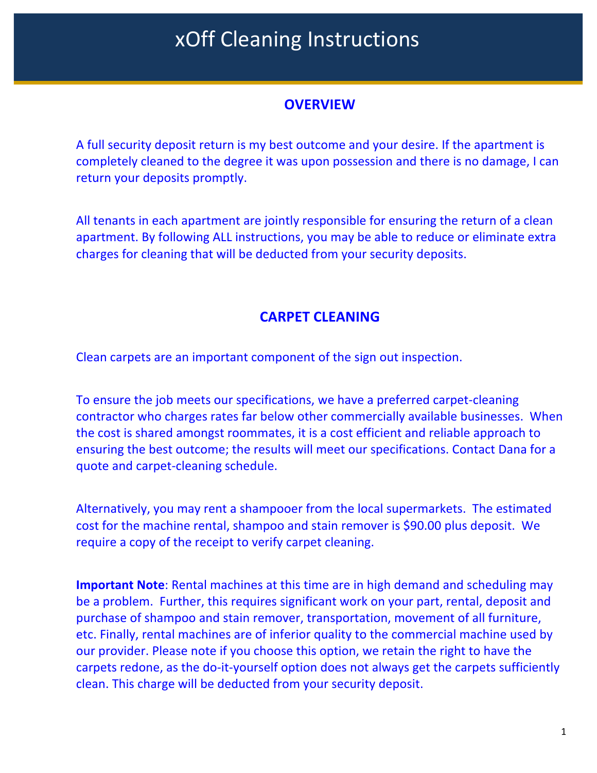### **OVERVIEW**

A full security deposit return is my best outcome and your desire. If the apartment is completely cleaned to the degree it was upon possession and there is no damage, I can return your deposits promptly.

All tenants in each apartment are jointly responsible for ensuring the return of a clean apartment. By following ALL instructions, you may be able to reduce or eliminate extra charges for cleaning that will be deducted from your security deposits.

### **CARPET CLEANING**

Clean carpets are an important component of the sign out inspection.

To ensure the job meets our specifications, we have a preferred carpet-cleaning contractor who charges rates far below other commercially available businesses. When the cost is shared amongst roommates, it is a cost efficient and reliable approach to ensuring the best outcome; the results will meet our specifications. Contact Dana for a quote and carpet-cleaning schedule.

Alternatively, you may rent a shampooer from the local supermarkets. The estimated cost for the machine rental, shampoo and stain remover is \$90.00 plus deposit. We require a copy of the receipt to verify carpet cleaning.

**Important Note**: Rental machines at this time are in high demand and scheduling may be a problem. Further, this requires significant work on your part, rental, deposit and purchase of shampoo and stain remover, transportation, movement of all furniture, etc. Finally, rental machines are of inferior quality to the commercial machine used by our provider. Please note if you choose this option, we retain the right to have the carpets redone, as the do-it-yourself option does not always get the carpets sufficiently clean. This charge will be deducted from your security deposit.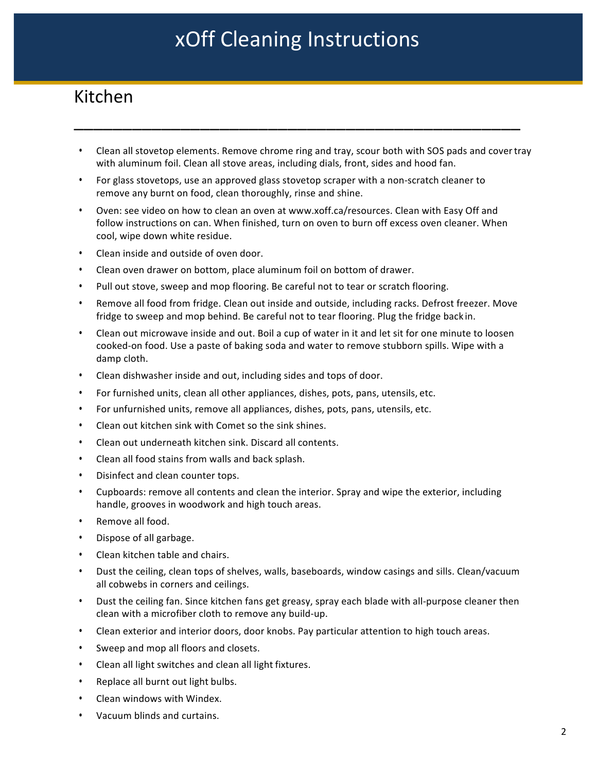## Kitchen

Clean all stovetop elements. Remove chrome ring and tray, scour both with SOS pads and cover tray with aluminum foil. Clean all stove areas, including dials, front, sides and hood fan.

\_\_\_\_\_\_\_\_\_\_\_\_\_\_\_\_\_\_\_\_\_\_\_\_\_\_\_\_\_\_\_\_\_\_\_\_\_\_\_\_\_\_\_\_\_\_

- For glass stovetops, use an approved glass stovetop scraper with a non-scratch cleaner to remove any burnt on food, clean thoroughly, rinse and shine.
- Oven: see video on how to clean an oven at www.xoff.ca/resources. Clean with Easy Off and follow instructions on can. When finished, turn on oven to burn off excess oven cleaner. When cool, wipe down white residue.
- Clean inside and outside of oven door.
- Clean oven drawer on bottom, place aluminum foil on bottom of drawer.
- Pull out stove, sweep and mop flooring. Be careful not to tear or scratch flooring.
- Remove all food from fridge. Clean out inside and outside, including racks. Defrost freezer. Move fridge to sweep and mop behind. Be careful not to tear flooring. Plug the fridge back in.
- Clean out microwave inside and out. Boil a cup of water in it and let sit for one minute to loosen cooked-on food. Use a paste of baking soda and water to remove stubborn spills. Wipe with a damp cloth.
- Clean dishwasher inside and out, including sides and tops of door.
- For furnished units, clean all other appliances, dishes, pots, pans, utensils, etc.
- For unfurnished units, remove all appliances, dishes, pots, pans, utensils, etc.
- Clean out kitchen sink with Comet so the sink shines.
- Clean out underneath kitchen sink. Discard all contents.
- Clean all food stains from walls and back splash.
- Disinfect and clean counter tops.
- Cupboards: remove all contents and clean the interior. Spray and wipe the exterior, including handle, grooves in woodwork and high touch areas.
- Remove all food.
- Dispose of all garbage.
- Clean kitchen table and chairs.
- Dust the ceiling, clean tops of shelves, walls, baseboards, window casings and sills. Clean/vacuum all cobwebs in corners and ceilings.
- Dust the ceiling fan. Since kitchen fans get greasy, spray each blade with all-purpose cleaner then clean with a microfiber cloth to remove any build-up.
- Clean exterior and interior doors, door knobs. Pay particular attention to high touch areas.
- Sweep and mop all floors and closets.
- Clean all light switches and clean all light fixtures.
- Replace all burnt out light bulbs.
- Clean windows with Windex.
- Vacuum blinds and curtains.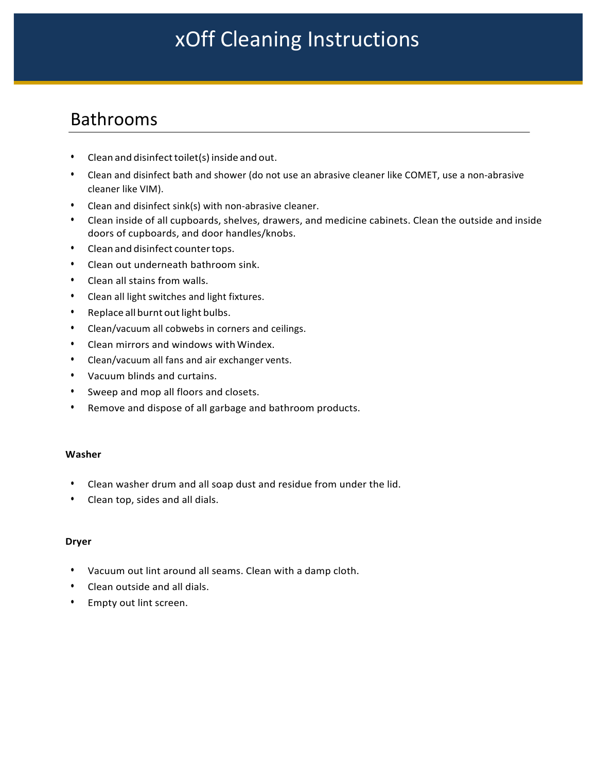## Bathrooms

- Clean and disinfect toilet(s) inside and out.
- Clean and disinfect bath and shower (do not use an abrasive cleaner like COMET, use a non-abrasive cleaner like VIM).
- Clean and disinfect sink(s) with non-abrasive cleaner.
- Clean inside of all cupboards, shelves, drawers, and medicine cabinets. Clean the outside and inside doors of cupboards, and door handles/knobs.
- Clean and disinfect countertops.
- Clean out underneath bathroom sink.
- Clean all stains from walls.
- Clean all light switches and light fixtures.
- Replace all burnt out light bulbs.
- Clean/vacuum all cobwebs in corners and ceilings.
- Clean mirrors and windows with Windex.
- Clean/vacuum all fans and air exchanger vents.
- Vacuum blinds and curtains.
- Sweep and mop all floors and closets.
- Remove and dispose of all garbage and bathroom products.

#### **Washer**

- Clean washer drum and all soap dust and residue from under the lid.
- Clean top, sides and all dials.

#### **Dryer**

- Vacuum out lint around all seams. Clean with a damp cloth.
- Clean outside and all dials.
- Empty out lint screen.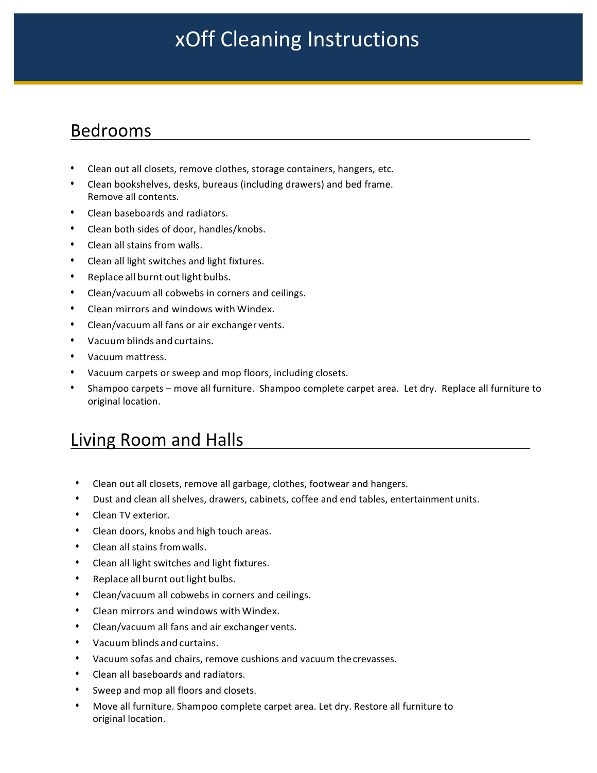### Bedrooms

- Clean out all closets, remove clothes, storage containers, hangers, etc.
- Clean bookshelves, desks, bureaus (including drawers) and bed frame. Remove all contents.
- Clean baseboards and radiators.
- Clean both sides of door, handles/knobs.
- Clean all stains from walls.
- Clean all light switches and light fixtures.
- Replace all burnt out light bulbs.
- Clean/vacuum all cobwebs in corners and ceilings.
- Clean mirrors and windows with Windex.
- Clean/vacuum all fans or air exchanger vents.
- Vacuum blinds and curtains.
- Vacuum mattress.
- Vacuum carpets or sweep and mop floors, including closets.
- Shampoo carpets move all furniture. Shampoo complete carpet area. Let dry. Replace all furniture to original location.

## Living Room and Halls

- Clean out all closets, remove all garbage, clothes, footwear and hangers.
- Dust and clean all shelves, drawers, cabinets, coffee and end tables, entertainment units.
- Clean TV exterior.
- Clean doors, knobs and high touch areas.
- Clean all stains from walls.
- Clean all light switches and light fixtures.
- Replace all burnt out light bulbs.
- Clean/vacuum all cobwebs in corners and ceilings.
- Clean mirrors and windows with Windex.
- Clean/vacuum all fans and air exchanger vents.
- Vacuum blinds and curtains.
- Vacuum sofas and chairs, remove cushions and vacuum the crevasses.
- Clean all baseboards and radiators.
- Sweep and mop all floors and closets.
- Move all furniture. Shampoo complete carpet area. Let dry. Restore all furniture to original location.